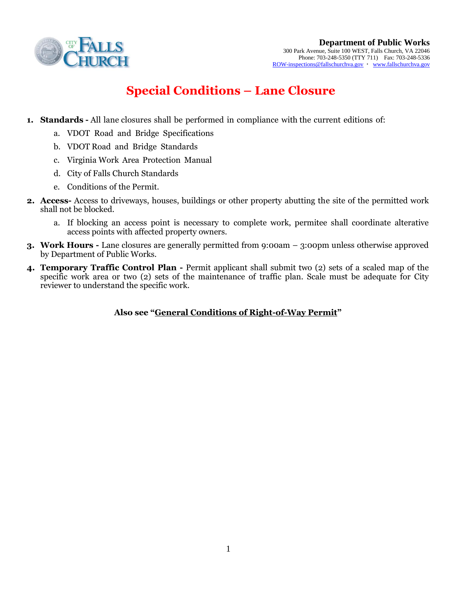

## **Special Conditions – Lane Closure**

- **1. Standards -** All lane closures shall be performed in compliance with the current editions of:
	- a. VDOT Road and Bridge Specifications
	- b. VDOT Road and Bridge Standards
	- c. Virginia Work Area Protection Manual
	- d. City of Falls Church Standards
	- e. Conditions of the Permit.
- **2. Access-** Access to driveways, houses, buildings or other property abutting the site of the permitted work shall not be blocked.
	- a. If blocking an access point is necessary to complete work, permitee shall coordinate alterative access points with affected property owners.
- **3. Work Hours -** Lane closures are generally permitted from 9:00am 3:00pm unless otherwise approved by Department of Public Works.
- **4. Temporary Traffic Control Plan -** Permit applicant shall submit two (2) sets of a scaled map of the specific work area or two (2) sets of the maintenance of traffic plan. Scale must be adequate for City reviewer to understand the specific work.

## **Also see "General Conditions of Right-of-Way Permit"**